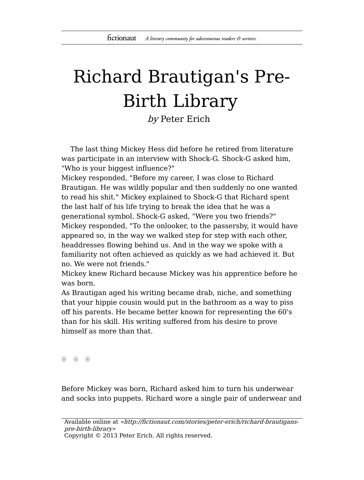## Richard Brautigan's Pre-Birth Library

by Peter Erich

The last thing Mickey Hess did before he retired from literature was participate in an interview with Shock-G. Shock-G asked him, "Who is your biggest influence?"

Mickey responded, "Before my career, I was close to Richard Brautigan. He was wildly popular and then suddenly no one wanted to read his shit." Mickey explained to Shock-G that Richard spent the last half of his life trying to break the idea that he was a generational symbol. Shock-G asked, "Were you two friends?" Mickey responded, "To the onlooker, to the passersby, it would have appeared so, in the way we walked step for step with each other, headdresses flowing behind us. And in the way we spoke with a familiarity not often achieved as quickly as we had achieved it. But no. We were not friends."

Mickey knew Richard because Mickey was his apprentice before he was born.

As Brautigan aged his writing became drab, niche, and something that your hippie cousin would put in the bathroom as a way to piss off his parents. He became better known for representing the 60's than for his skill. His writing suffered from his desire to prove himself as more than that.

\* \* \*

Before Mickey was born, Richard asked him to turn his underwear and socks into puppets. Richard wore a single pair of underwear and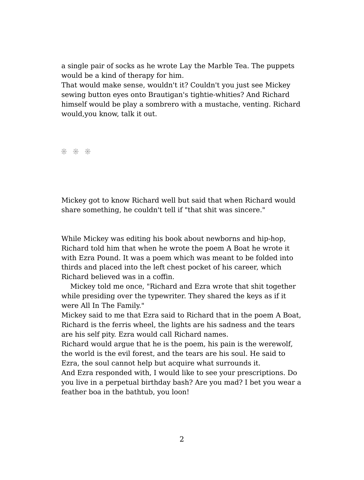a single pair of socks as he wrote Lay the Marble Tea. The puppets would be a kind of therapy for him.

That would make sense, wouldn't it? Couldn't you just see Mickey sewing button eyes onto Brautigan's tightie-whities? And Richard himself would be play a sombrero with a mustache, venting. Richard would,you know, talk it out.

\* \* \*

Mickey got to know Richard well but said that when Richard would share something, he couldn't tell if "that shit was sincere."

While Mickey was editing his book about newborns and hip-hop, Richard told him that when he wrote the poem A Boat he wrote it with Ezra Pound. It was a poem which was meant to be folded into thirds and placed into the left chest pocket of his career, which Richard believed was in a coffin.

Mickey told me once, "Richard and Ezra wrote that shit together while presiding over the typewriter. They shared the keys as if it were All In The Family."

Mickey said to me that Ezra said to Richard that in the poem A Boat, Richard is the ferris wheel, the lights are his sadness and the tears are his self pity. Ezra would call Richard names.

Richard would argue that he is the poem, his pain is the werewolf, the world is the evil forest, and the tears are his soul. He said to Ezra, the soul cannot help but acquire what surrounds it.

And Ezra responded with, I would like to see your prescriptions. Do you live in a perpetual birthday bash? Are you mad? I bet you wear a feather boa in the bathtub, you loon!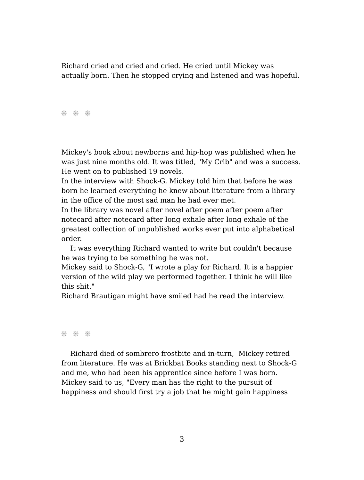Richard cried and cried and cried. He cried until Mickey was actually born. Then he stopped crying and listened and was hopeful.

\* \* \*

Mickey's book about newborns and hip-hop was published when he was just nine months old. It was titled, "My Crib" and was a success. He went on to published 19 novels.

In the interview with Shock-G, Mickey told him that before he was born he learned everything he knew about literature from a library in the office of the most sad man he had ever met.

In the library was novel after novel after poem after poem after notecard after notecard after long exhale after long exhale of the greatest collection of unpublished works ever put into alphabetical order.

It was everything Richard wanted to write but couldn't because he was trying to be something he was not.

Mickey said to Shock-G, "I wrote a play for Richard. It is a happier version of the wild play we performed together. I think he will like this shit."

Richard Brautigan might have smiled had he read the interview.

\* \* \*

Richard died of sombrero frostbite and in-turn, Mickey retired from literature. He was at Brickbat Books standing next to Shock-G and me, who had been his apprentice since before I was born. Mickey said to us, "Every man has the right to the pursuit of happiness and should first try a job that he might gain happiness